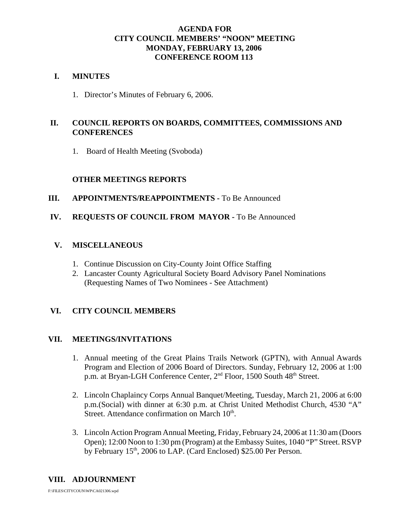# **AGENDA FOR CITY COUNCIL MEMBERS' "NOON" MEETING MONDAY, FEBRUARY 13, 2006 CONFERENCE ROOM 113**

# **I. MINUTES**

1. Director's Minutes of February 6, 2006.

# **II. COUNCIL REPORTS ON BOARDS, COMMITTEES, COMMISSIONS AND CONFERENCES**

1. Board of Health Meeting (Svoboda)

# **OTHER MEETINGS REPORTS**

# **III.** APPOINTMENTS/REAPPOINTMENTS - To Be Announced

# **IV. REQUESTS OF COUNCIL FROM MAYOR -** To Be Announced

# **V. MISCELLANEOUS**

- 1. Continue Discussion on City-County Joint Office Staffing
- 2. Lancaster County Agricultural Society Board Advisory Panel Nominations (Requesting Names of Two Nominees - See Attachment)

# **VI. CITY COUNCIL MEMBERS**

# **VII. MEETINGS/INVITATIONS**

- 1. Annual meeting of the Great Plains Trails Network (GPTN), with Annual Awards Program and Election of 2006 Board of Directors. Sunday, February 12, 2006 at 1:00 p.m. at Bryan-LGH Conference Center, 2<sup>nd</sup> Floor, 1500 South 48<sup>th</sup> Street.
- 2. Lincoln Chaplaincy Corps Annual Banquet/Meeting, Tuesday, March 21, 2006 at 6:00 p.m.(Social) with dinner at 6:30 p.m. at Christ United Methodist Church, 4530 "A" Street. Attendance confirmation on March 10<sup>th</sup>.
- 3. Lincoln Action Program Annual Meeting, Friday, February 24, 2006 at 11:30 am (Doors Open); 12:00 Noon to 1:30 pm (Program) at the Embassy Suites, 1040 "P" Street. RSVP by February  $15<sup>th</sup>$ , 2006 to LAP. (Card Enclosed) \$25.00 Per Person.

# **VIII. ADJOURNMENT**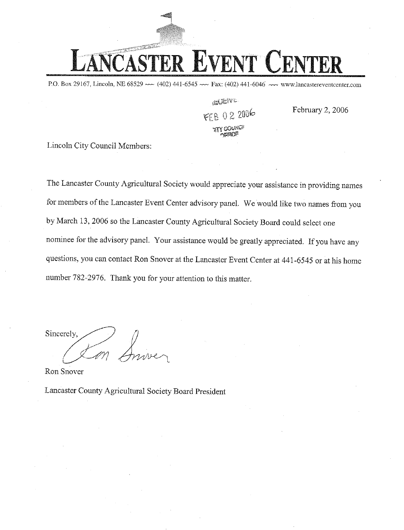P.O. Box 29167, Lincoln, NE 68529  $\sim$  (402) 441-6545  $\sim$  Fax: (402) 441-6046  $\sim$  www.lancastereventcenter.com

**A VENE** FFR 02 2006

February 2, 2006

Lincoln City Council Members:

The Lancaster County Agricultural Society would appreciate your assistance in providing names for members of the Lancaster Event Center advisory panel. We would like two names from you by March 13, 2006 so the Lancaster County Agricultural Society Board could select one nominee for the advisory panel. Your assistance would be greatly appreciated. If you have any questions, you can contact Ron Snover at the Lancaster Event Center at 441-6545 or at his home number 782-2976. Thank you for your attention to this matter.

Sincerely.

Ron Snover

Lancaster County Agricultural Society Board President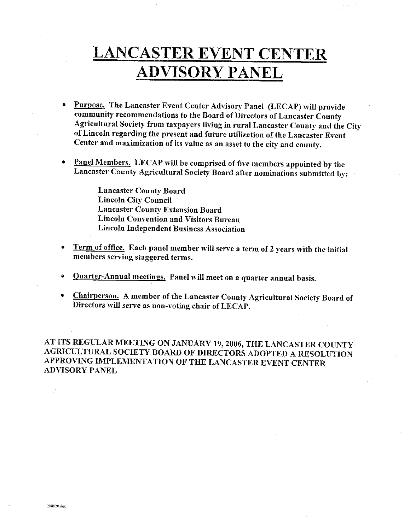# **LANCASTER EVENT CENTER ADVISORY PANEL**

- Purpose. The Lancaster Event Center Advisory Panel (LECAP) will provide community recommendations to the Board of Directors of Lancaster County Agricultural Society from taxpayers living in rural Lancaster County and the City of Lincoln regarding the present and future utilization of the Lancaster Event Center and maximization of its value as an asset to the city and county.
- Panel Members. LECAP will be comprised of five members appointed by the Lancaster County Agricultural Society Board after nominations submitted by:

**Lancaster County Board Lincoln City Council Lancaster County Extension Board Lincoln Convention and Visitors Bureau Lincoln Independent Business Association** 

- Term of office. Each panel member will serve a term of 2 years with the initial members serving staggered terms.
- Quarter-Annual meetings. Panel will meet on a quarter annual basis.  $\bullet$
- Chairperson. A member of the Lancaster County Agricultural Society Board of Directors will serve as non-voting chair of LECAP.

AT ITS REGULAR MEETING ON JANUARY 19, 2006, THE LANCASTER COUNTY AGRICULTURAL SOCIETY BOARD OF DIRECTORS ADOPTED A RESOLUTION APPROVING IMPLEMENTATION OF THE LANCASTER EVENT CENTER **ADVISORY PANEL**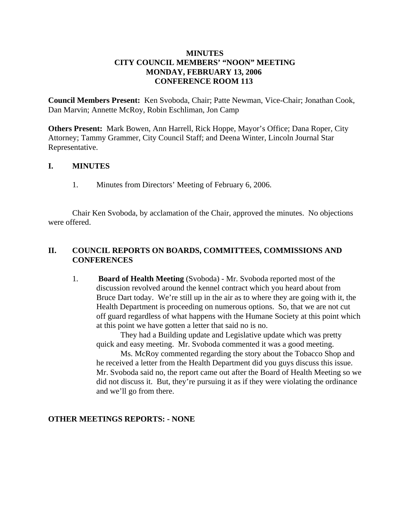# **MINUTES CITY COUNCIL MEMBERS' "NOON" MEETING MONDAY, FEBRUARY 13, 2006 CONFERENCE ROOM 113**

**Council Members Present:** Ken Svoboda, Chair; Patte Newman, Vice-Chair; Jonathan Cook, Dan Marvin; Annette McRoy, Robin Eschliman, Jon Camp

**Others Present:** Mark Bowen, Ann Harrell, Rick Hoppe, Mayor's Office; Dana Roper, City Attorney; Tammy Grammer, City Council Staff; and Deena Winter, Lincoln Journal Star Representative.

# **I. MINUTES**

1. Minutes from Directors' Meeting of February 6, 2006.

Chair Ken Svoboda, by acclamation of the Chair, approved the minutes. No objections were offered.

# **II. COUNCIL REPORTS ON BOARDS, COMMITTEES, COMMISSIONS AND CONFERENCES**

1. **Board of Health Meeting** (Svoboda) - Mr. Svoboda reported most of the discussion revolved around the kennel contract which you heard about from Bruce Dart today. We're still up in the air as to where they are going with it, the Health Department is proceeding on numerous options. So, that we are not cut off guard regardless of what happens with the Humane Society at this point which at this point we have gotten a letter that said no is no.

They had a Building update and Legislative update which was pretty quick and easy meeting. Mr. Svoboda commented it was a good meeting.

Ms. McRoy commented regarding the story about the Tobacco Shop and he received a letter from the Health Department did you guys discuss this issue. Mr. Svoboda said no, the report came out after the Board of Health Meeting so we did not discuss it. But, they're pursuing it as if they were violating the ordinance and we'll go from there.

# **OTHER MEETINGS REPORTS: - NONE**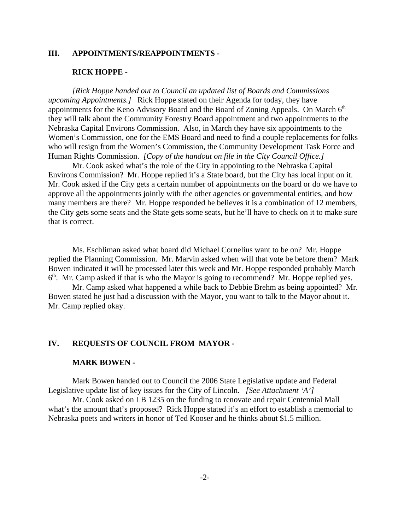# **III. APPOINTMENTS/REAPPOINTMENTS -**

#### **RICK HOPPE -**

*[Rick Hoppe handed out to Council an updated list of Boards and Commissions upcoming Appointments.]* Rick Hoppe stated on their Agenda for today, they have appointments for the Keno Advisory Board and the Board of Zoning Appeals. On March 6<sup>th</sup> they will talk about the Community Forestry Board appointment and two appointments to the Nebraska Capital Environs Commission. Also, in March they have six appointments to the Women's Commission, one for the EMS Board and need to find a couple replacements for folks who will resign from the Women's Commission, the Community Development Task Force and Human Rights Commission. *[Copy of the handout on file in the City Council Office.]* 

Mr. Cook asked what's the role of the City in appointing to the Nebraska Capital Environs Commission? Mr. Hoppe replied it's a State board, but the City has local input on it. Mr. Cook asked if the City gets a certain number of appointments on the board or do we have to approve all the appointments jointly with the other agencies or governmental entities, and how many members are there? Mr. Hoppe responded he believes it is a combination of 12 members, the City gets some seats and the State gets some seats, but he'll have to check on it to make sure that is correct.

Ms. Eschliman asked what board did Michael Cornelius want to be on? Mr. Hoppe replied the Planning Commission. Mr. Marvin asked when will that vote be before them? Mark Bowen indicated it will be processed later this week and Mr. Hoppe responded probably March  $6<sup>th</sup>$ . Mr. Camp asked if that is who the Mayor is going to recommend? Mr. Hoppe replied yes.

Mr. Camp asked what happened a while back to Debbie Brehm as being appointed? Mr. Bowen stated he just had a discussion with the Mayor, you want to talk to the Mayor about it. Mr. Camp replied okay.

### **IV. REQUESTS OF COUNCIL FROM MAYOR -**

#### **MARK BOWEN -**

Mark Bowen handed out to Council the 2006 State Legislative update and Federal Legislative update list of key issues for the City of Lincoln. *[See Attachment 'A']*

Mr. Cook asked on LB 1235 on the funding to renovate and repair Centennial Mall what's the amount that's proposed? Rick Hoppe stated it's an effort to establish a memorial to Nebraska poets and writers in honor of Ted Kooser and he thinks about \$1.5 million.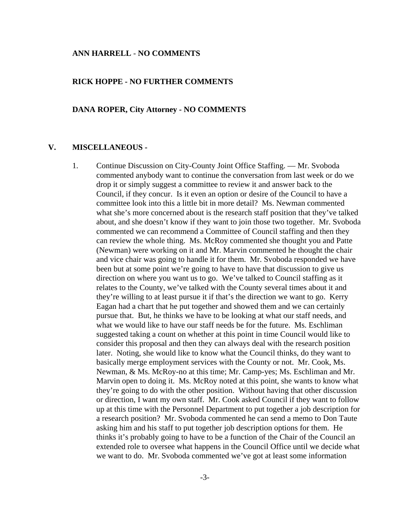#### **ANN HARRELL** - **NO COMMENTS**

#### **RICK HOPPE - NO FURTHER COMMENTS**

#### **DANA ROPER, City Attorney - NO COMMENTS**

### **V. MISCELLANEOUS -**

1. Continue Discussion on City-County Joint Office Staffing. — Mr. Svoboda commented anybody want to continue the conversation from last week or do we drop it or simply suggest a committee to review it and answer back to the Council, if they concur. Is it even an option or desire of the Council to have a committee look into this a little bit in more detail? Ms. Newman commented what she's more concerned about is the research staff position that they've talked about, and she doesn't know if they want to join those two together. Mr. Svoboda commented we can recommend a Committee of Council staffing and then they can review the whole thing. Ms. McRoy commented she thought you and Patte (Newman) were working on it and Mr. Marvin commented he thought the chair and vice chair was going to handle it for them. Mr. Svoboda responded we have been but at some point we're going to have to have that discussion to give us direction on where you want us to go. We've talked to Council staffing as it relates to the County, we've talked with the County several times about it and they're willing to at least pursue it if that's the direction we want to go. Kerry Eagan had a chart that he put together and showed them and we can certainly pursue that. But, he thinks we have to be looking at what our staff needs, and what we would like to have our staff needs be for the future. Ms. Eschliman suggested taking a count on whether at this point in time Council would like to consider this proposal and then they can always deal with the research position later. Noting, she would like to know what the Council thinks, do they want to basically merge employment services with the County or not. Mr. Cook, Ms. Newman, & Ms. McRoy-no at this time; Mr. Camp-yes; Ms. Eschliman and Mr. Marvin open to doing it. Ms. McRoy noted at this point, she wants to know what they're going to do with the other position. Without having that other discussion or direction, I want my own staff. Mr. Cook asked Council if they want to follow up at this time with the Personnel Department to put together a job description for a research position? Mr. Svoboda commented he can send a memo to Don Taute asking him and his staff to put together job description options for them. He thinks it's probably going to have to be a function of the Chair of the Council an extended role to oversee what happens in the Council Office until we decide what we want to do. Mr. Svoboda commented we've got at least some information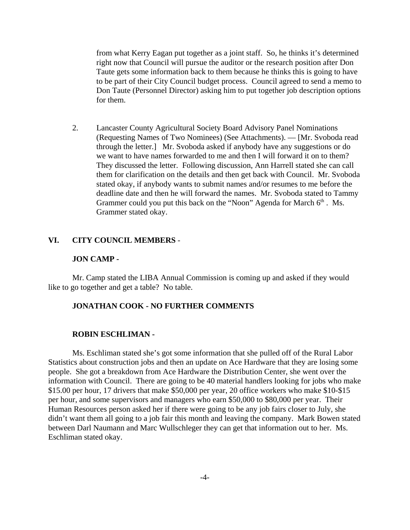from what Kerry Eagan put together as a joint staff. So, he thinks it's determined right now that Council will pursue the auditor or the research position after Don Taute gets some information back to them because he thinks this is going to have to be part of their City Council budget process. Council agreed to send a memo to Don Taute (Personnel Director) asking him to put together job description options for them.

2. Lancaster County Agricultural Society Board Advisory Panel Nominations (Requesting Names of Two Nominees) (See Attachments). — [Mr. Svoboda read through the letter.] Mr. Svoboda asked if anybody have any suggestions or do we want to have names forwarded to me and then I will forward it on to them? They discussed the letter. Following discussion, Ann Harrell stated she can call them for clarification on the details and then get back with Council. Mr. Svoboda stated okay, if anybody wants to submit names and/or resumes to me before the deadline date and then he will forward the names. Mr. Svoboda stated to Tammy Grammer could you put this back on the "Noon" Agenda for March  $6<sup>th</sup>$ . Ms. Grammer stated okay.

# **VI. CITY COUNCIL MEMBERS** -

#### **JON CAMP -**

Mr. Camp stated the LIBA Annual Commission is coming up and asked if they would like to go together and get a table? No table.

#### **JONATHAN COOK - NO FURTHER COMMENTS**

#### **ROBIN ESCHLIMAN -**

Ms. Eschliman stated she's got some information that she pulled off of the Rural Labor Statistics about construction jobs and then an update on Ace Hardware that they are losing some people. She got a breakdown from Ace Hardware the Distribution Center, she went over the information with Council. There are going to be 40 material handlers looking for jobs who make \$15.00 per hour, 17 drivers that make \$50,000 per year, 20 office workers who make \$10-\$15 per hour, and some supervisors and managers who earn \$50,000 to \$80,000 per year. Their Human Resources person asked her if there were going to be any job fairs closer to July, she didn't want them all going to a job fair this month and leaving the company. Mark Bowen stated between Darl Naumann and Marc Wullschleger they can get that information out to her. Ms. Eschliman stated okay.